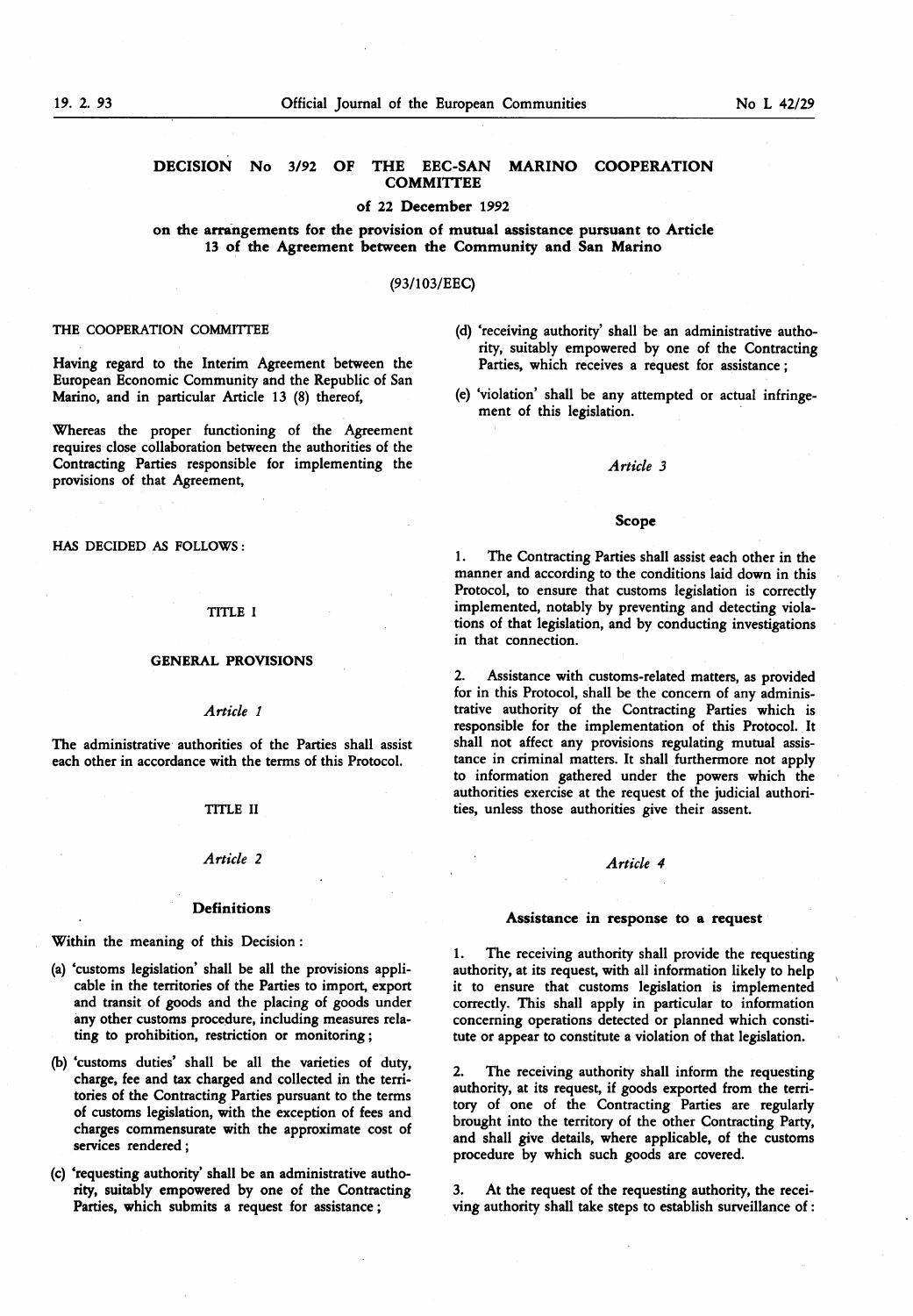# of 22 December 1992

# on the arrangements for the provision of mutual assistance pursuant to Article 13 of the Agreement between the Community and San Marino

# (93/103/EEC)

### THE COOPERATION COMMITTEE

Having regard to the Interim Agreement between the European Economic Community and the Republic of San Marino, and in particular Article 13 (8) thereof,

Whereas the proper functioning of the Agreement requires close collaboration between the authorities of the Contracting Parties responsible for implementing the provisions of that Agreement,

HAS DECIDED AS FOLLOWS :

#### TITLE I

#### GENERAL PROVISIONS

#### Article <sup>1</sup>

The administrative authorities of the Parties shall assist each other in accordance with the terms of this Protocol.

## TITLE II

# Article 2 Article 4

#### **Definitions**

Within the meaning of this Decision :

- (a) 'customs legislation' shall be all the provisions applicable in the territories of the Parties to import, export and transit of goods and the placing of goods under any other customs procedure, including measures relating to prohibition, restriction or monitoring ;
- (b) 'customs duties' shall be all the varieties of duty, charge, fee and tax charged and collected in the territories of the Contracting Parties pursuant to the terms of customs legislation, with the exception of fees and charges commensurate with the approximate cost of services rendered ;
- (c) 'requesting authority' shall be an administrative authority, suitably empowered by one of the Contracting Parties, which submits a request for assistance ;
- (d) 'receiving authority shall be an administrative authority, suitably empowered by one of the Contracting Parties, which receives a request for assistance ;
- (e) 'violation' shall be any attempted or actual infringement of this legislation.

### Article 3

#### Scope

1. The Contracting Parties shall assist each other in the manner and according to the conditions laid down in this Protocol, to ensure that customs legislation is correctly implemented, notably by preventing and detecting violations of that legislation, and by conducting investigations in that connection.

2. Assistance with customs-related matters, as provided for in this Protocol, shall be the concern of any administrative authority of the Contracting Parties which is responsible for the implementation of this Protocol. It shall not affect any provisions regulating mutual assistance in criminal matters. It shall furthermore not apply to information gathered under the powers which the authorities exercise at the request of the judicial authorities, unless those authorities give their assent.

#### Assistance in response to a request

1. The receiving authority shall provide the requesting authority, at its request, with all information likely to help it to ensure that customs legislation is implemented correctly. This shall apply in particular to information concerning operations detected or planned which constitute or appear to constitute a violation of that legislation.

2. The receiving authority shall inform the requesting authority, at its request, if goods exported from the territory of one of the Contracting Parties are regularly brought into the territory of the other Contracting Party, and shall give details, where applicable, of the customs procedure by which such goods are covered.

3. At the request of the requesting authority, the receiving authority shall take steps to establish surveillance of :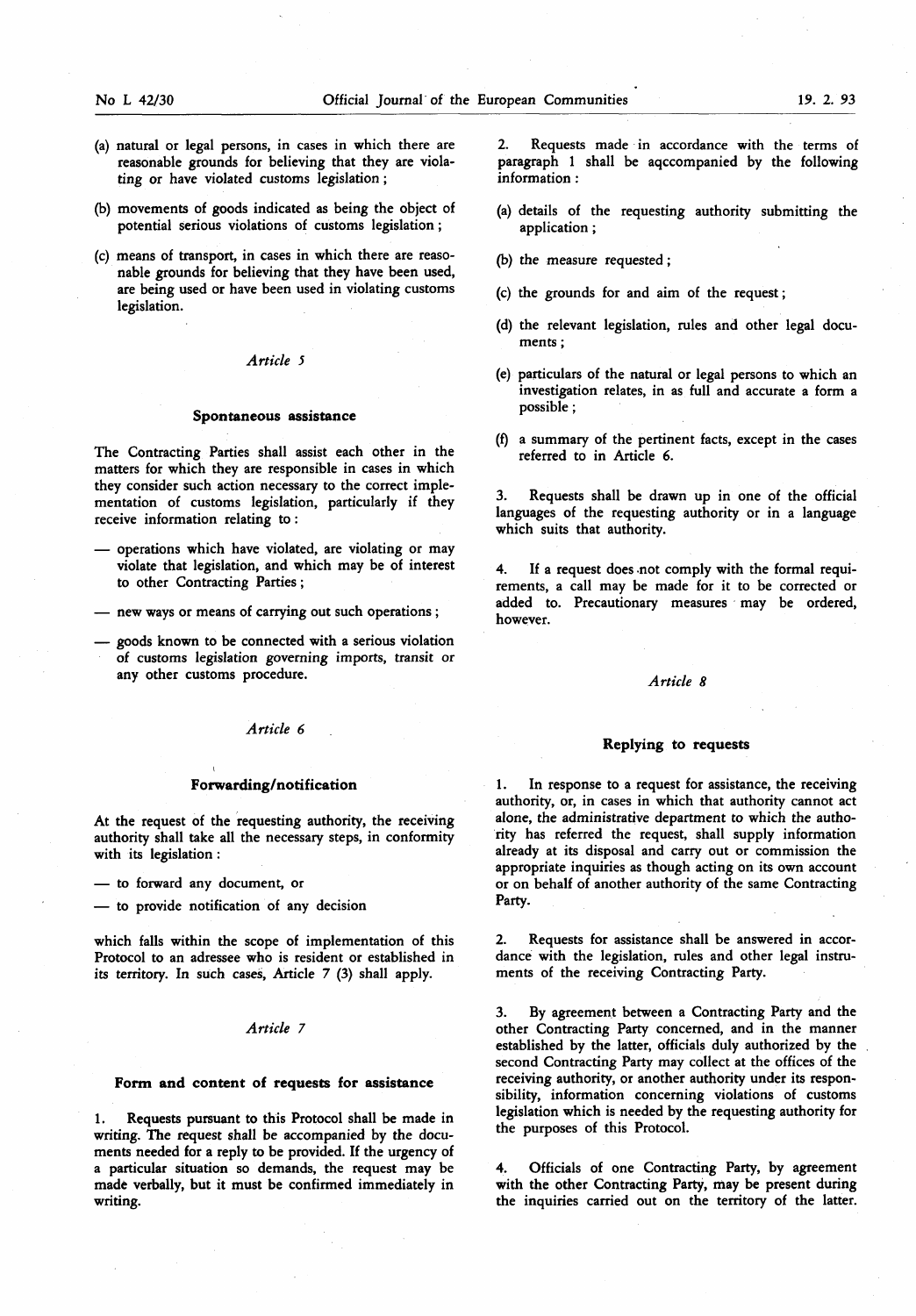- (a) natural or legal persons, in cases in which there are reasonable grounds for believing that they are violating or have violated customs legislation ;
- (b) movements of goods indicated as being the object of potential serious violations of customs legislation ;
- (c) means of transport, in cases in which there are reasonable grounds for believing that they have been used, are being used or have been used in violating customs legislation.

#### Article 5

#### Spontaneous assistance

The Contracting Parties shall assist each other in the matters for which they are responsible in cases in which they consider such action necessary to the correct implementation of customs legislation, particularly if they receive information relating to :

- operations which have violated, are violating or may violate that legislation, and which may be of interest to other Contracting Parties ;
- new ways or means of carrying out such operations ;
- goods known to be connected with a serious violation of customs legislation governing imports, transit or any other customs procedure. Article 8

# Article 6

#### Forwarding/notification

At the request of the requesting authority, the receiving authority shall take all the necessary steps, in conformity with its legislation :

— to forward any document, or

— to provide notification of any decision

which falls within the scope of implementation of this Protocol to an adressee who is resident or established in its territory. In such cases, Article 7 (3) shall apply.

# Article 7

#### Form and content of requests for assistance

Requests pursuant to this Protocol shall be made in writing. The request shall be accompanied by the documents needed for a reply to be provided. If the urgency of a particular situation so demands, the request may be made verbally, but it must be confirmed immediately in writing.

2. Requests made in accordance with the terms of paragraph <sup>1</sup> shall be aqccompanied by the following information :

- (a) details of the requesting authority submitting the application ;
- (b) the measure requested ;
- (c) the grounds for and aim of the request ;
- (d) the relevant legislation, rules and other legal documents ;
- (e) particulars of the natural or legal persons to which an investigation relates, in as full and accurate a form a possible ;
- (f) a summary of the pertinent facts, except in the cases referred to in Article 6.

Requests shall be drawn up in one of the official languages of the requesting authority or in a language which suits that authority.

4. If a request does not comply with the formal requirements, a call may be made for it to be corrected or added to. Precautionary measures may be ordered, however.

#### Replying to requests

1. In response to a request for assistance, the receiving authority, or, in cases in which that authority cannot act alone, the administrative department to which the authority has referred the request, shall supply information already at its disposal and carry out or commission the appropriate inquiries as though acting on its own account or on behalf of another authority of the same Contracting Party.

2. Requests for assistance shall be answered in accordance with the legislation, rules and other legal instruments of the receiving Contracting Party.

3. By agreement between a Contracting Party and the other Contracting Party concerned, and in the manner established by the latter, officials duly authorized by the second Contracting Party may collect at the offices of the receiving authority, or another authority under its responsibility, information concerning violations of customs legislation which is needed by the requesting authority for the purposes of this Protocol.

4. Officials of one Contracting Party, by agreement with the other Contracting Party, may be present during the inquiries carried out on the territory of the latter.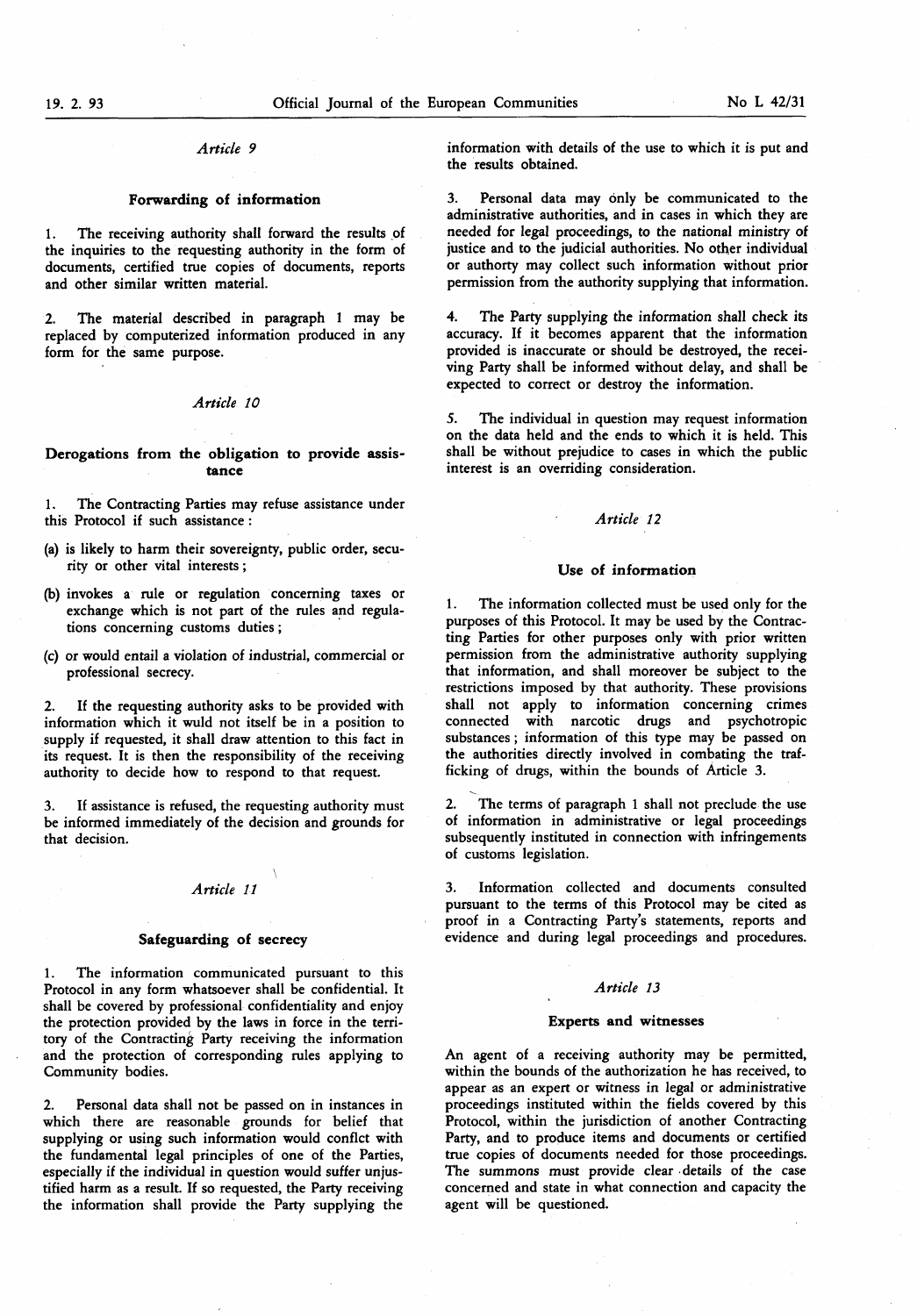# Article 9

# Forwarding of information

1. The receiving authority shall forward the results of the inquiries to the requesting authority in the form of documents, certified true copies of documents, reports and other similar written material.

2. The material described in paragraph <sup>1</sup> may be replaced by computerized information produced in any form for the same purpose.

#### Article 10

#### Derogations from the obligation to provide assistance

1. The Contracting Parties may refuse assistance under this Protocol if such assistance :

- (a) is likely to harm their sovereignty, public order, security or other vital interests ;
- (b) invokes a rule or regulation concerning taxes or exchange which is not part of the rules and regulations concerning customs duties ;
- (c) or would entail a violation of industrial, commercial or professional secrecy.

2. If the requesting authority asks to be provided with information which it wuld not itself be in a position to supply if requested, it shall draw attention to this fact in its request. It is then the responsibility of the receiving authority to decide how to respond to that request.

If assistance is refused, the requesting authority must be informed immediately of the decision and grounds for that decision.

# Article 11

\

#### Safeguarding of secrecy

1. The information communicated pursuant to this Protocol in any form whatsoever shall be confidential. It shall be covered by professional confidentiality and enjoy the protection provided by the laws in force in the territory of the Contracting Party receiving the information and the protection of corresponding rules applying to Community bodies.

2. Personal data shall not be passed on in instances in which there are reasonable grounds for belief that supplying or using such information would conflct with the fundamental legal principles of one of the Parties, especially if the individual in question would suffer unjustified harm as a result. If so requested, the Party receiving the information shall provide the Party supplying the

information with details of the use to which it is put and the results obtained.

3. Personal data may only be communicated to the administrative authorities, and in cases in which they are needed for legal proceedings, to the national ministry of justice and to the judicial authorities. No other individual or authorty may collect such information without prior permission from the authority supplying that information.

4. The Party supplying the information shall check its accuracy. If it becomes apparent that the information provided is inaccurate or should be destroyed, the receiving Party shall be informed without delay, and shall be expected to correct or destroy the information.

5. The individual in question may request information on the data held and the ends to which it is held. This shall be without prejudice to cases in which the public interest is an overriding consideration.

# Article 12

#### Use of information

1. The information collected must be used only for the purposes of this Protocol. It may be used by the Contracting Parties for other purposes only with prior written permission from the administrative authority supplying that information, and shall moreover be subject to the restrictions imposed by that authority. These provisions shall not apply to information concerning crimes connected with narcotic drugs and psychotropic substances ; information of this type may be passed on the authorities directly involved in combating the trafficking of drugs, within the bounds of Article 3.

2. The terms of paragraph <sup>1</sup> shall not preclude the use of information in administrative or legal proceedings subsequently instituted in connection with infringements of customs legislation.

3. Information collected and documents consulted pursuant to the terms of this Protocol may be cited as proof in a Contracting Party's statements, reports and evidence and during legal proceedings and procedures.

#### Article 13

#### Experts and witnesses

An agent of a receiving authority may be permitted, within the bounds of the authorization he has received, to appear as an expert or witness in legal or administrative proceedings instituted within the fields covered by this Protocol, within the jurisdiction of another Contracting Party, and to produce items and documents or certified true copies of documents needed for those proceedings. The summons must provide clear details of the case concerned and state in what connection and capacity the agent will be questioned.